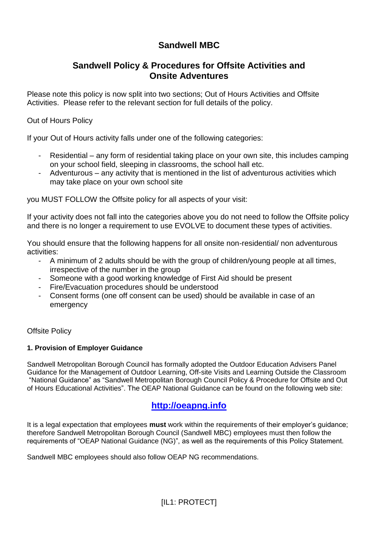# **Sandwell MBC**

# **Sandwell Policy & Procedures for Offsite Activities and Onsite Adventures**

Please note this policy is now split into two sections; Out of Hours Activities and Offsite Activities. Please refer to the relevant section for full details of the policy.

Out of Hours Policy

If your Out of Hours activity falls under one of the following categories:

- Residential any form of residential taking place on your own site, this includes camping on your school field, sleeping in classrooms, the school hall etc.
- Adventurous any activity that is mentioned in the list of adventurous activities which may take place on your own school site

you MUST FOLLOW the Offsite policy for all aspects of your visit:

If your activity does not fall into the categories above you do not need to follow the Offsite policy and there is no longer a requirement to use EVOLVE to document these types of activities.

You should ensure that the following happens for all onsite non-residential/ non adventurous activities:

- A minimum of 2 adults should be with the group of children/young people at all times, irrespective of the number in the group
- Someone with a good working knowledge of First Aid should be present
- Fire/Evacuation procedures should be understood
- Consent forms (one off consent can be used) should be available in case of an emergency

## Offsite Policy

## **1. Provision of Employer Guidance**

Sandwell Metropolitan Borough Council has formally adopted the Outdoor Education Advisers Panel Guidance for the Management of Outdoor Learning, Off-site Visits and Learning Outside the Classroom "National Guidance" as "Sandwell Metropolitan Borough Council Policy & Procedure for Offsite and Out of Hours Educational Activities". The OEAP National Guidance can be found on the following web site:

# **[http://oeapng.info](http://oeapng.info/)**

It is a legal expectation that employees **must** work within the requirements of their employer's guidance; therefore Sandwell Metropolitan Borough Council (Sandwell MBC) employees must then follow the requirements of "OEAP National Guidance (NG)", as well as the requirements of this Policy Statement.

Sandwell MBC employees should also follow OEAP NG recommendations.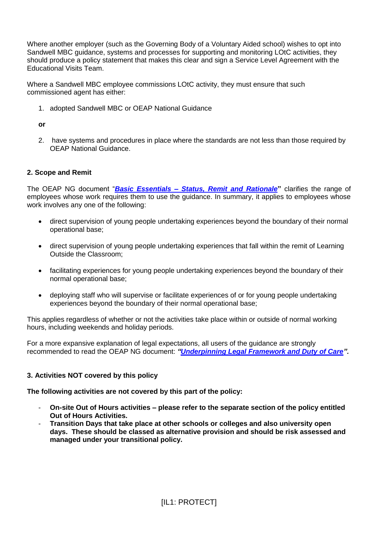Where another employer (such as the Governing Body of a Voluntary Aided school) wishes to opt into Sandwell MBC guidance, systems and processes for supporting and monitoring LOtC activities, they should produce a policy statement that makes this clear and sign a Service Level Agreement with the Educational Visits Team.

Where a Sandwell MBC employee commissions LOtC activity, they must ensure that such commissioned agent has either:

1. adopted Sandwell MBC or OEAP National Guidance

**or**

2. have systems and procedures in place where the standards are not less than those required by OEAP National Guidance.

## **2. Scope and Remit**

The OEAP NG document "*[Basic Essentials](http://oeapng.info/downloads/all-documents/)* **–** *Status, Remit and Rationale***"** clarifies the range of employees whose work requires them to use the guidance. In summary, it applies to employees whose work involves any one of the following:

- direct supervision of young people undertaking experiences beyond the boundary of their normal operational base;
- direct supervision of young people undertaking experiences that fall within the remit of Learning Outside the Classroom;
- facilitating experiences for young people undertaking experiences beyond the boundary of their normal operational base;
- deploying staff who will supervise or facilitate experiences of or for young people undertaking experiences beyond the boundary of their normal operational base;

This applies regardless of whether or not the activities take place within or outside of normal working hours, including weekends and holiday periods.

For a more expansive explanation of legal expectations, all users of the guidance are strongly recommended to read the OEAP NG document: *["Underpinning Legal Framework](http://oeapng.info/downloads/all-documents/) and Duty of Care".*

## **3. Activities NOT covered by this policy**

**The following activities are not covered by this part of the policy:**

- **On-site Out of Hours activities – please refer to the separate section of the policy entitled Out of Hours Activities.**
- **Transition Days that take place at other schools or colleges and also university open days. These should be classed as alternative provision and should be risk assessed and managed under your transitional policy.**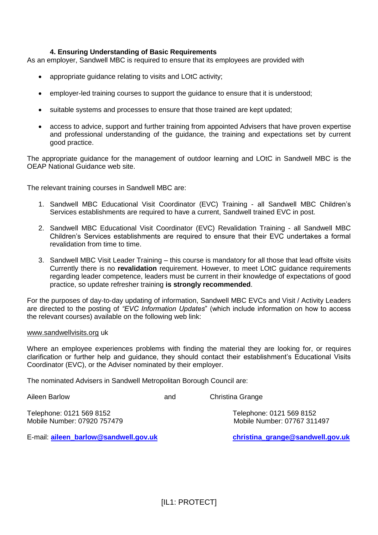## **4. Ensuring Understanding of Basic Requirements**

As an employer, Sandwell MBC is required to ensure that its employees are provided with

- appropriate guidance relating to visits and LOtC activity;
- employer-led training courses to support the guidance to ensure that it is understood;
- suitable systems and processes to ensure that those trained are kept updated;
- access to advice, support and further training from appointed Advisers that have proven expertise and professional understanding of the guidance, the training and expectations set by current good practice.

The appropriate guidance for the management of outdoor learning and LOtC in Sandwell MBC is the OEAP National Guidance web site.

The relevant training courses in Sandwell MBC are:

- 1. Sandwell MBC Educational Visit Coordinator (EVC) Training all Sandwell MBC Children's Services establishments are required to have a current, Sandwell trained EVC in post.
- 2. Sandwell MBC Educational Visit Coordinator (EVC) Revalidation Training all Sandwell MBC Children's Services establishments are required to ensure that their EVC undertakes a formal revalidation from time to time.
- 3. Sandwell MBC Visit Leader Training this course is mandatory for all those that lead offsite visits Currently there is no **revalidation** requirement. However, to meet LOtC guidance requirements regarding leader competence, leaders must be current in their knowledge of expectations of good practice, so update refresher training **is strongly recommended**.

For the purposes of day-to-day updating of information, Sandwell MBC EVCs and Visit / Activity Leaders are directed to the posting of *"EVC Information Updates*" (which include information on how to access the relevant courses) available on the following web link:

#### [www.sandwellvisits.org](http://www.sandwellvisits.org/) uk

Where an employee experiences problems with finding the material they are looking for, or requires clarification or further help and guidance, they should contact their establishment's Educational Visits Coordinator (EVC), or the Adviser nominated by their employer.

The nominated Advisers in Sandwell Metropolitan Borough Council are:

Aileen Barlow **and** Christina Grange Telephone: 0121 569 8152 Telephone: 0121 569 8152 Mobile Number: 07920 757479 Mobile Number: 07767 311497

E-mail: **[aileen\\_barlow@sandwell.gov.uk](mailto:aileen_barlow@sandwell.gov.uk) [christina\\_grange@sandwell.gov.uk](mailto:christina_grange@sandwell.gov.uk)**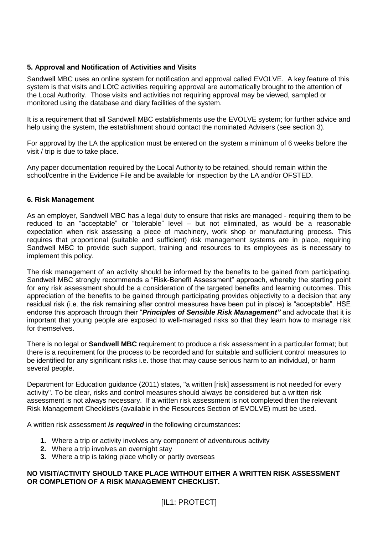## **5. Approval and Notification of Activities and Visits**

Sandwell MBC uses an online system for notification and approval called EVOLVE. A key feature of this system is that visits and LOtC activities requiring approval are automatically brought to the attention of the Local Authority. Those visits and activities not requiring approval may be viewed, sampled or monitored using the database and diary facilities of the system.

It is a requirement that all Sandwell MBC establishments use the EVOLVE system; for further advice and help using the system, the establishment should contact the nominated Advisers (see section 3).

For approval by the LA the application must be entered on the system a minimum of 6 weeks before the visit / trip is due to take place.

Any paper documentation required by the Local Authority to be retained, should remain within the school/centre in the Evidence File and be available for inspection by the LA and/or OFSTED.

## **6. Risk Management**

As an employer, Sandwell MBC has a legal duty to ensure that risks are managed - requiring them to be reduced to an "acceptable" or "tolerable" level – but not eliminated, as would be a reasonable expectation when risk assessing a piece of machinery, work shop or manufacturing process. This requires that proportional (suitable and sufficient) risk management systems are in place, requiring Sandwell MBC to provide such support, training and resources to its employees as is necessary to implement this policy.

The risk management of an activity should be informed by the benefits to be gained from participating. Sandwell MBC strongly recommends a "Risk-Benefit Assessment" approach, whereby the starting point for any risk assessment should be a consideration of the targeted benefits and learning outcomes. This appreciation of the benefits to be gained through participating provides objectivity to a decision that any residual risk (i.e. the risk remaining after control measures have been put in place) is "acceptable". HSE endorse this approach through their "*Principles of Sensible Risk Management"* and advocate that it is important that young people are exposed to well-managed risks so that they learn how to manage risk for themselves.

There is no legal or **Sandwell MBC** requirement to produce a risk assessment in a particular format; but there is a requirement for the process to be recorded and for suitable and sufficient control measures to be identified for any significant risks i.e. those that may cause serious harm to an individual, or harm several people.

Department for Education guidance (2011) states, "a written [risk] assessment is not needed for every activity". To be clear, risks and control measures should always be considered but a written risk assessment is not always necessary. If a written risk assessment is not completed then the relevant Risk Management Checklist/s (available in the Resources Section of EVOLVE) must be used.

A written risk assessment *is required* in the following circumstances:

- **1.** Where a trip or activity involves any component of adventurous activity
- **2.** Where a trip involves an overnight stay
- **3.** Where a trip is taking place wholly or partly overseas

## **NO VISIT/ACTIVITY SHOULD TAKE PLACE WITHOUT EITHER A WRITTEN RISK ASSESSMENT OR COMPLETION OF A RISK MANAGEMENT CHECKLIST.**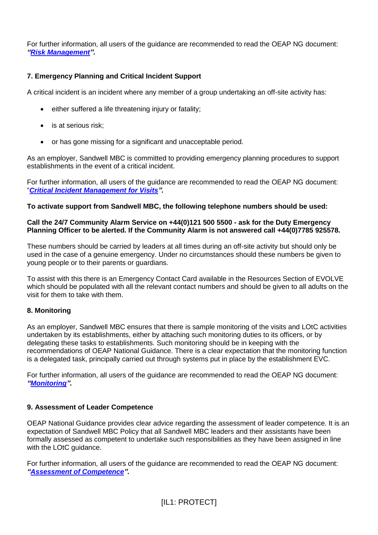For further information, all users of the guidance are recommended to read the OEAP NG document: *["Risk Management"](http://oeapng.info/downloads/all-documents/).*

## **7. Emergency Planning and Critical Incident Support**

A critical incident is an incident where any member of a group undertaking an off-site activity has:

- either suffered a life threatening injury or fatality;
- is at serious risk:
- or has gone missing for a significant and unacceptable period.

As an employer, Sandwell MBC is committed to providing emergency planning procedures to support establishments in the event of a critical incident.

For further information, all users of the guidance are recommended to read the OEAP NG document: "*[Critical Incident Management for Visits"](http://oeapng.info/downloads/all-documents/).*

## **To activate support from Sandwell MBC, the following telephone numbers should be used:**

## **Call the 24/7 Community Alarm Service on +44(0)121 500 5500 - ask for the Duty Emergency Planning Officer to be alerted. If the Community Alarm is not answered call +44(0)7785 925578.**

These numbers should be carried by leaders at all times during an off-site activity but should only be used in the case of a genuine emergency. Under no circumstances should these numbers be given to young people or to their parents or guardians.

To assist with this there is an Emergency Contact Card available in the Resources Section of EVOLVE which should be populated with all the relevant contact numbers and should be given to all adults on the visit for them to take with them.

## **8. Monitoring**

As an employer, Sandwell MBC ensures that there is sample monitoring of the visits and LOtC activities undertaken by its establishments, either by attaching such monitoring duties to its officers, or by delegating these tasks to establishments. Such monitoring should be in keeping with the recommendations of OEAP National Guidance. There is a clear expectation that the monitoring function is a delegated task, principally carried out through systems put in place by the establishment EVC.

For further information, all users of the guidance are recommended to read the OEAP NG document: *["Monitoring"](http://oeapng.info/downloads/all-documents/).*

## **9. Assessment of Leader Competence**

OEAP National Guidance provides clear advice regarding the assessment of leader competence. It is an expectation of Sandwell MBC Policy that all Sandwell MBC leaders and their assistants have been formally assessed as competent to undertake such responsibilities as they have been assigned in line with the LOtC quidance.

For further information, all users of the guidance are recommended to read the OEAP NG document: *["Assessment of Competence"](http://oeapng.info/downloads/all-documents/).*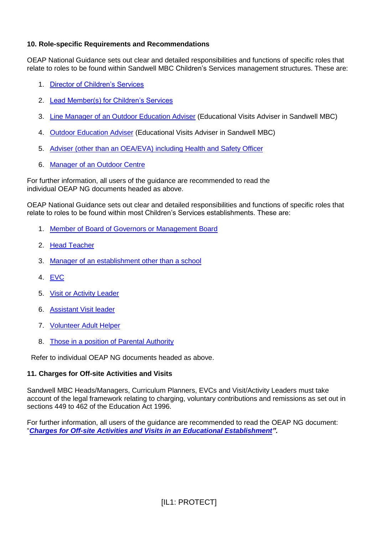## **10. Role-specific Requirements and Recommendations**

OEAP National Guidance sets out clear and detailed responsibilities and functions of specific roles that relate to roles to be found within Sandwell MBC Children's Services management structures. These are:

- 1. [Director of Children's Services](http://oeapng.info/downloads/all-documents/)
- 2. [Lead Member\(s\) for Children's Services](http://oeapng.info/downloads/all-documents/)
- 3. [Line Manager of an Outdoor Education Adviser](http://oeapng.info/downloads/all-documents/) (Educational Visits Adviser in Sandwell MBC)
- 4. [Outdoor Education Adviser](http://oeapng.info/downloads/all-documents/) (Educational Visits Adviser in Sandwell MBC)
- 5. [Adviser \(other than an OEA/EVA\) including Health and Safety Officer](http://oeapng.info/downloads/all-documents/)
- 6. [Manager of an Outdoor Centre](http://oeapng.info/downloads/all-documents/)

For further information, all users of the guidance are recommended to read the individual OEAP NG documents headed as above.

OEAP National Guidance sets out clear and detailed responsibilities and functions of specific roles that relate to roles to be found within most Children's Services establishments. These are:

- 1. [Member of Board of Governors or Management Board](http://oeapng.info/downloads/all-documents/)
- 2. [Head Teacher](http://oeapng.info/downloads/all-documents/)
- 3. [Manager of an establishment other than a school](http://oeapng.info/downloads/all-documents/)
- 4. [EVC](http://oeapng.info/downloads/all-documents/)
- 5. [Visit or Activity Leader](http://oeapng.info/downloads/all-documents/)
- 6. [Assistant Visit leader](http://oeapng.info/downloads/all-documents/)
- 7. [Volunteer Adult Helper](http://oeapng.info/downloads/all-documents/)
- 8. [Those in a position of Parental Authority](http://oeapng.info/downloads/all-documents/)

Refer to individual OEAP NG documents headed as above.

## **11. Charges for Off-site Activities and Visits**

Sandwell MBC Heads/Managers, Curriculum Planners, EVCs and Visit/Activity Leaders must take account of the legal framework relating to charging, voluntary contributions and remissions as set out in sections 449 to 462 of the Education Act 1996.

For further information, all users of the guidance are recommended to read the OEAP NG document: "*[Charges for Off-site Activities and Visits in an Educational Establishment"](http://oeapng.info/downloads/all-documents/).*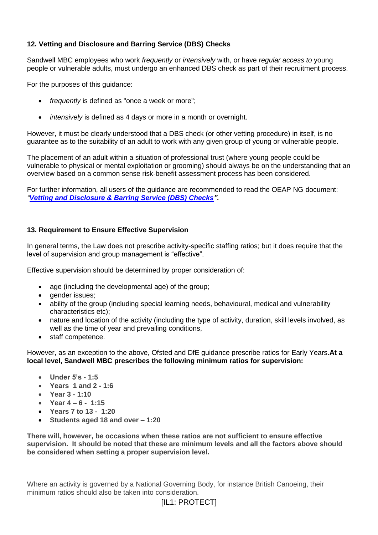## **12. Vetting and Disclosure and Barring Service (DBS) Checks**

Sandwell MBC employees who work *frequently* or *intensively* with, or have *regular access to* young people or vulnerable adults, must undergo an enhanced DBS check as part of their recruitment process.

For the purposes of this guidance:

- *frequently* is defined as "once a week or more";
- *intensively* is defined as 4 days or more in a month or overnight.

However, it must be clearly understood that a DBS check (or other vetting procedure) in itself, is no guarantee as to the suitability of an adult to work with any given group of young or vulnerable people.

The placement of an adult within a situation of professional trust (where young people could be vulnerable to physical or mental exploitation or grooming) should always be on the understanding that an overview based on a common sense risk-benefit assessment process has been considered.

For further information, all users of the guidance are recommended to read the OEAP NG document: *"[Vetting and Disclosure & Barring Service \(DBS\)](http://oeapng.info/downloads/all-documents/) Checks".*

## **13. Requirement to Ensure Effective Supervision**

In general terms, the Law does not prescribe activity-specific staffing ratios; but it does require that the level of supervision and group management is "effective".

Effective supervision should be determined by proper consideration of:

- age (including the developmental age) of the group;
- gender issues;
- ability of the group (including special learning needs, behavioural, medical and vulnerability characteristics etc);
- nature and location of the activity (including the type of activity, duration, skill levels involved, as well as the time of year and prevailing conditions,
- staff competence.

However, as an exception to the above, Ofsted and DfE guidance prescribe ratios for Early Years.**At a local level, Sandwell MBC prescribes the following minimum ratios for supervision:**

- **Under 5's - 1:5**
- **Years 1 and 2 - 1:6**
- **Year 3 - 1:10**
- **Year 4 – 6 - 1:15**
- **Years 7 to 13 - 1:20**
- **Students aged 18 and over – 1:20**

**There will, however, be occasions when these ratios are not sufficient to ensure effective supervision. It should be noted that these are minimum levels and all the factors above should be considered when setting a proper supervision level.**

Where an activity is governed by a National Governing Body, for instance British Canoeing, their minimum ratios should also be taken into consideration.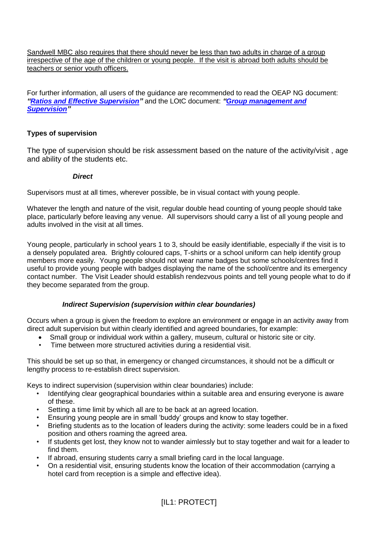Sandwell MBC also requires that there should never be less than two adults in charge of a group irrespective of the age of the children or young people. If the visit is abroad both adults should be teachers or senior youth officers.

For further information, all users of the guidance are recommended to read the OEAP NG document: *["Ratios and Effective Supervision"](http://oeapng.info/downloads/all-documents/)* and the LOtC document: *["Group management and](http://oeapng.info/downloads/all-documents/)  [Supervision"](http://oeapng.info/downloads/all-documents/)*

## **Types of supervision**

The type of supervision should be risk assessment based on the nature of the activity/visit , age and ability of the students etc.

## *Direct*

Supervisors must at all times, wherever possible, be in visual contact with young people.

Whatever the length and nature of the visit, regular double head counting of young people should take place, particularly before leaving any venue. All supervisors should carry a list of all young people and adults involved in the visit at all times.

Young people, particularly in school years 1 to 3, should be easily identifiable, especially if the visit is to a densely populated area. Brightly coloured caps, T-shirts or a school uniform can help identify group members more easily. Young people should not wear name badges but some schools/centres find it useful to provide young people with badges displaying the name of the school/centre and its emergency contact number. The Visit Leader should establish rendezvous points and tell young people what to do if they become separated from the group.

## *Indirect Supervision (supervision within clear boundaries)*

Occurs when a group is given the freedom to explore an environment or engage in an activity away from direct adult supervision but within clearly identified and agreed boundaries, for example:

- Small group or individual work within a gallery, museum, cultural or historic site or city.
- Time between more structured activities during a residential visit.

This should be set up so that, in emergency or changed circumstances, it should not be a difficult or lengthy process to re-establish direct supervision.

Keys to indirect supervision (supervision within clear boundaries) include:

- Identifying clear geographical boundaries within a suitable area and ensuring everyone is aware of these.
- Setting a time limit by which all are to be back at an agreed location.
- Ensuring young people are in small 'buddy' groups and know to stay together.
- Briefing students as to the location of leaders during the activity: some leaders could be in a fixed position and others roaming the agreed area.
- If students get lost, they know not to wander aimlessly but to stay together and wait for a leader to find them.
- If abroad, ensuring students carry a small briefing card in the local language.
- On a residential visit, ensuring students know the location of their accommodation (carrying a hotel card from reception is a simple and effective idea).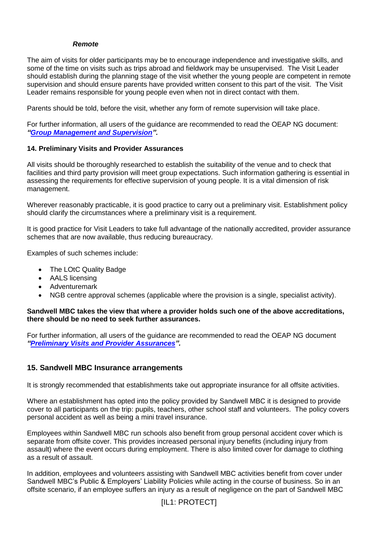#### *Remote*

The aim of visits for older participants may be to encourage independence and investigative skills, and some of the time on visits such as trips abroad and fieldwork may be unsupervised. The Visit Leader should establish during the planning stage of the visit whether the young people are competent in remote supervision and should ensure parents have provided written consent to this part of the visit. The Visit Leader remains responsible for young people even when not in direct contact with them.

Parents should be told, before the visit, whether any form of remote supervision will take place.

For further information, all users of the guidance are recommended to read the OEAP NG document: *["Group Management and Supervision"](http://oeapng.info/downloads/all-documents/).*

## **14. Preliminary Visits and Provider Assurances**

All visits should be thoroughly researched to establish the suitability of the venue and to check that facilities and third party provision will meet group expectations. Such information gathering is essential in assessing the requirements for effective supervision of young people. It is a vital dimension of risk management.

Wherever reasonably practicable, it is good practice to carry out a preliminary visit. Establishment policy should clarify the circumstances where a preliminary visit is a requirement.

It is good practice for Visit Leaders to take full advantage of the nationally accredited, provider assurance schemes that are now available, thus reducing bureaucracy.

Examples of such schemes include:

- The LOtC Quality Badge
- AALS licensing
- Adventuremark
- NGB centre approval schemes (applicable where the provision is a single, specialist activity).

#### **Sandwell MBC takes the view that where a provider holds such one of the above accreditations, there should be no need to seek further assurances.**

For further information, all users of the guidance are recommended to read the OEAP NG document *["Preliminary Visits and Provider Assurances"](http://oeapng.info/downloads/all-documents/).*

## **15. Sandwell MBC Insurance arrangements**

It is strongly recommended that establishments take out appropriate insurance for all offsite activities.

Where an establishment has opted into the policy provided by Sandwell MBC it is designed to provide cover to all participants on the trip: pupils, teachers, other school staff and volunteers. The policy covers personal accident as well as being a mini travel insurance.

Employees within Sandwell MBC run schools also benefit from group personal accident cover which is separate from offsite cover. This provides increased personal injury benefits (including injury from assault) where the event occurs during employment. There is also limited cover for damage to clothing as a result of assault.

In addition, employees and volunteers assisting with Sandwell MBC activities benefit from cover under Sandwell MBC's Public & Employers' Liability Policies while acting in the course of business. So in an offsite scenario, if an employee suffers an injury as a result of negligence on the part of Sandwell MBC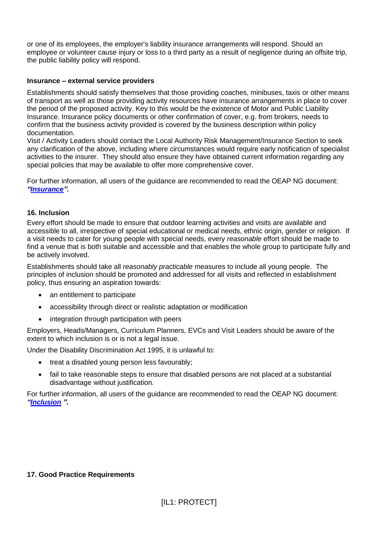or one of its employees, the employer's liability insurance arrangements will respond. Should an employee or volunteer cause injury or loss to a third party as a result of negligence during an offsite trip, the public liability policy will respond.

## **Insurance – external service providers**

Establishments should satisfy themselves that those providing coaches, minibuses, taxis or other means of transport as well as those providing activity resources have insurance arrangements in place to cover the period of the proposed activity. Key to this would be the existence of Motor and Public Liability Insurance. Insurance policy documents or other confirmation of cover, e.g. from brokers, needs to confirm that the business activity provided is covered by the business description within policy documentation.

Visit / Activity Leaders should contact the Local Authority Risk Management/Insurance Section to seek any clarification of the above, including where circumstances would require early notification of specialist activities to the insurer. They should also ensure they have obtained current information regarding any special policies that may be available to offer more comprehensive cover.

For further information, all users of the guidance are recommended to read the OEAP NG document: *["Insurance"](http://oeapng.info/downloads/all-documents/).*

## **16. Inclusion**

Every effort should be made to ensure that outdoor learning activities and visits are available and accessible to all, irrespective of special educational or medical needs, ethnic origin, gender or religion. If a visit needs to cater for young people with special needs, every *reasonable* effort should be made to find a venue that is both suitable and accessible and that enables the whole group to participate fully and be actively involved.

Establishments should take all *reasonably practicable* measures to include all young people. The principles of inclusion should be promoted and addressed for all visits and reflected in establishment policy, thus ensuring an aspiration towards:

- an entitlement to participate
- accessibility through direct or realistic adaptation or modification
- integration through participation with peers

Employers, Heads/Managers, Curriculum Planners, EVCs and Visit Leaders should be aware of the extent to which inclusion is or is not a legal issue.

Under the Disability Discrimination Act 1995, it is unlawful to:

- treat a disabled young person less favourably;
- fail to take reasonable steps to ensure that disabled persons are not placed at a substantial disadvantage without justification.

For further information, all users of the guidance are recommended to read the OEAP NG document: *["Inclusion](http://oeapng.info/downloads/all-documents/) ".*

## **17. Good Practice Requirements**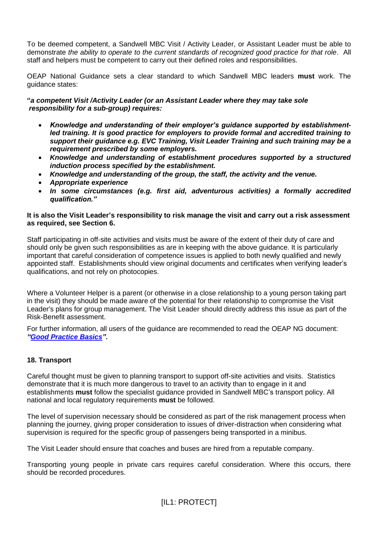To be deemed competent, a Sandwell MBC Visit / Activity Leader, or Assistant Leader must be able to demonstrate *the ability to operate to the current standards of recognized good practice for that role*. All staff and helpers must be competent to carry out their defined roles and responsibilities.

OEAP National Guidance sets a clear standard to which Sandwell MBC leaders **must** work. The guidance states:

**"***a competent Visit /Activity Leader (or an Assistant Leader where they may take sole responsibility for a sub-group) requires:*

- *Knowledge and understanding of their employer's guidance supported by establishmentled training. It is good practice for employers to provide formal and accredited training to support their guidance e.g. EVC Training, Visit Leader Training and such training may be a requirement prescribed by some employers.*
- *Knowledge and understanding of establishment procedures supported by a structured induction process specified by the establishment.*
- *Knowledge and understanding of the group, the staff, the activity and the venue.*
- *Appropriate experience*
- *In some circumstances (e.g. first aid, adventurous activities) a formally accredited qualification."*

#### **It is also the Visit Leader's responsibility to risk manage the visit and carry out a risk assessment as required, see Section 6.**

Staff participating in off-site activities and visits must be aware of the extent of their duty of care and should only be given such responsibilities as are in keeping with the above guidance. It is particularly important that careful consideration of competence issues is applied to both newly qualified and newly appointed staff. Establishments should view original documents and certificates when verifying leader's qualifications, and not rely on photocopies.

Where a Volunteer Helper is a parent (or otherwise in a close relationship to a young person taking part in the visit) they should be made aware of the potential for their relationship to compromise the Visit Leader's plans for group management. The Visit Leader should directly address this issue as part of the Risk-Benefit assessment.

For further information, all users of the guidance are recommended to read the OEAP NG document: *["Good Practice Basics"](http://oeapng.info/downloads/all-documents/).*

## **18. Transport**

Careful thought must be given to planning transport to support off-site activities and visits. Statistics demonstrate that it is much more dangerous to travel to an activity than to engage in it and establishments **must** follow the specialist guidance provided in Sandwell MBC's transport policy. All national and local regulatory requirements **must** be followed.

The level of supervision necessary should be considered as part of the risk management process when planning the journey, giving proper consideration to issues of driver-distraction when considering what supervision is required for the specific group of passengers being transported in a minibus.

The Visit Leader should ensure that coaches and buses are hired from a reputable company.

Transporting young people in private cars requires careful consideration. Where this occurs, there should be recorded procedures.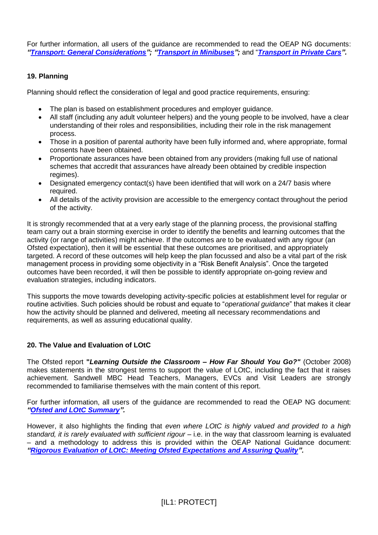For further information, all users of the guidance are recommended to read the OEAP NG documents: *["Transport: General Considerations"](http://oeapng.info/downloads/all-documents/); ["Transport in Minibuses"](http://oeapng.info/downloads/all-documents/);* and "*[Transport in Private Cars"](http://oeapng.info/downloads/all-documents/).*

## **19. Planning**

Planning should reflect the consideration of legal and good practice requirements, ensuring:

- The plan is based on establishment procedures and employer guidance.
- All staff (including any adult volunteer helpers) and the young people to be involved, have a clear understanding of their roles and responsibilities, including their role in the risk management process.
- Those in a position of parental authority have been fully informed and, where appropriate, formal consents have been obtained.
- Proportionate assurances have been obtained from any providers (making full use of national schemes that accredit that assurances have already been obtained by credible inspection regimes).
- Designated emergency contact(s) have been identified that will work on a 24/7 basis where required.
- All details of the activity provision are accessible to the emergency contact throughout the period of the activity.

It is strongly recommended that at a very early stage of the planning process, the provisional staffing team carry out a brain storming exercise in order to identify the benefits and learning outcomes that the activity (or range of activities) might achieve. If the outcomes are to be evaluated with any rigour (an Ofsted expectation), then it will be essential that these outcomes are prioritised, and appropriately targeted. A record of these outcomes will help keep the plan focussed and also be a vital part of the risk management process in providing some objectivity in a "Risk Benefit Analysis". Once the targeted outcomes have been recorded, it will then be possible to identify appropriate on-going review and evaluation strategies, including indicators.

This supports the move towards developing activity-specific policies at establishment level for regular or routine activities. Such policies should be robust and equate to "*operational guidance*" that makes it clear how the activity should be planned and delivered, meeting all necessary recommendations and requirements, as well as assuring educational quality.

## **20. The Value and Evaluation of LOtC**

The Ofsted report **"***Learning Outside the Classroom – How Far Should You Go?"* (October 2008) makes statements in the strongest terms to support the value of LOtC, including the fact that it raises achievement. Sandwell MBC Head Teachers, Managers, EVCs and Visit Leaders are strongly recommended to familiarise themselves with the main content of this report.

For further information, all users of the guidance are recommended to read the OEAP NG document: *["Ofsted and LOtC Summary"](http://oeapng.info/downloads/all-documents/).*

However, it also highlights the finding that *even where LOtC is highly valued and provided to a high standard, it is rarely evaluated with sufficient rigour* – i.e. in the way that classroom learning is evaluated – and a methodology to address this is provided within the OEAP National Guidance document: *["Rigorous Evaluation of LOtC: Meeting Ofsted Expectations and Assuring Quality"](http://oeapng.info/downloads/all-documents/).*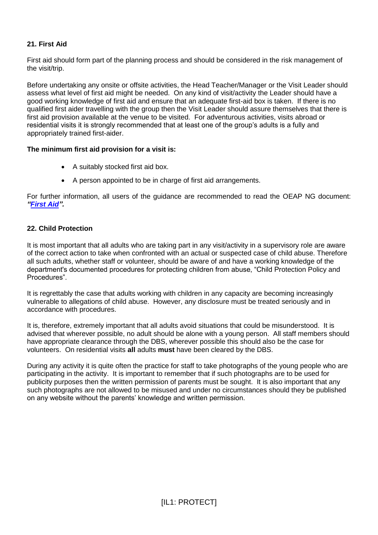## **21. First Aid**

First aid should form part of the planning process and should be considered in the risk management of the visit/trip.

Before undertaking any onsite or offsite activities, the Head Teacher/Manager or the Visit Leader should assess what level of first aid might be needed. On any kind of visit/activity the Leader should have a good working knowledge of first aid and ensure that an adequate first-aid box is taken. If there is no qualified first aider travelling with the group then the Visit Leader should assure themselves that there is first aid provision available at the venue to be visited. For adventurous activities, visits abroad or residential visits it is strongly recommended that at least one of the group's adults is a fully and appropriately trained first-aider.

## **The minimum first aid provision for a visit is:**

- A suitably stocked first aid box.
- A person appointed to be in charge of first aid arrangements.

For further information, all users of the guidance are recommended to read the OEAP NG document: *["First Aid"](http://oeapng.info/downloads/all-documents/).*

## **22. Child Protection**

It is most important that all adults who are taking part in any visit/activity in a supervisory role are aware of the correct action to take when confronted with an actual or suspected case of child abuse. Therefore all such adults, whether staff or volunteer, should be aware of and have a working knowledge of the department's documented procedures for protecting children from abuse, "Child Protection Policy and Procedures".

It is regrettably the case that adults working with children in any capacity are becoming increasingly vulnerable to allegations of child abuse. However, any disclosure must be treated seriously and in accordance with procedures.

It is, therefore, extremely important that all adults avoid situations that could be misunderstood. It is advised that wherever possible, no adult should be alone with a young person. All staff members should have appropriate clearance through the DBS, wherever possible this should also be the case for volunteers. On residential visits **all** adults **must** have been cleared by the DBS.

During any activity it is quite often the practice for staff to take photographs of the young people who are participating in the activity. It is important to remember that if such photographs are to be used for publicity purposes then the written permission of parents must be sought. It is also important that any such photographs are not allowed to be misused and under no circumstances should they be published on any website without the parents' knowledge and written permission.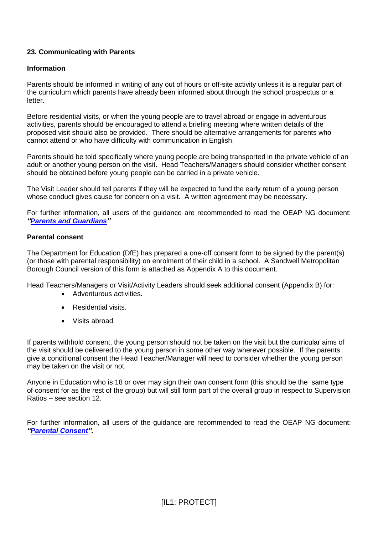## **23. Communicating with Parents**

## **Information**

Parents should be informed in writing of any out of hours or off-site activity unless it is a regular part of the curriculum which parents have already been informed about through the school prospectus or a letter.

Before residential visits, or when the young people are to travel abroad or engage in adventurous activities, parents should be encouraged to attend a briefing meeting where written details of the proposed visit should also be provided. There should be alternative arrangements for parents who cannot attend or who have difficulty with communication in English.

Parents should be told specifically where young people are being transported in the private vehicle of an adult or another young person on the visit. Head Teachers/Managers should consider whether consent should be obtained before young people can be carried in a private vehicle.

The Visit Leader should tell parents if they will be expected to fund the early return of a young person whose conduct gives cause for concern on a visit. A written agreement may be necessary.

For further information, all users of the guidance are recommended to read the OEAP NG document: *["Parents and Guardians"](http://oeapng.info/downloads/all-documents/)*

#### **Parental consent**

The Department for Education (DfE) has prepared a one-off consent form to be signed by the parent(s) (or those with parental responsibility) on enrolment of their child in a school. A Sandwell Metropolitan Borough Council version of this form is attached as Appendix A to this document.

Head Teachers/Managers or Visit/Activity Leaders should seek additional consent (Appendix B) for:

- Adventurous activities.
- Residential visits.
- Visits abroad.

If parents withhold consent, the young person should not be taken on the visit but the curricular aims of the visit should be delivered to the young person in some other way wherever possible. If the parents give a conditional consent the Head Teacher/Manager will need to consider whether the young person may be taken on the visit or not.

Anyone in Education who is 18 or over may sign their own consent form (this should be the same type of consent for as the rest of the group) but will still form part of the overall group in respect to Supervision Ratios – see section 12.

For further information, all users of the guidance are recommended to read the OEAP NG document: *["Parental Consent"](http://oeapng.info/downloads/all-documents/).*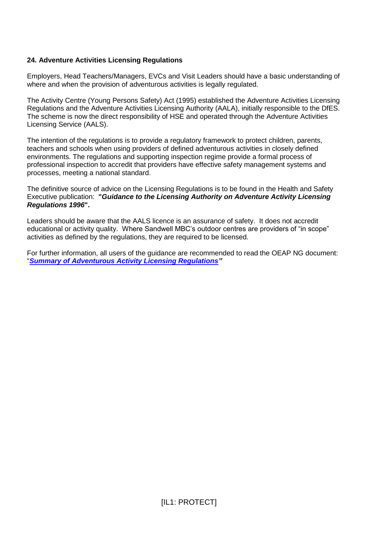## **24. Adventure Activities Licensing Regulations**

Employers, Head Teachers/Managers, EVCs and Visit Leaders should have a basic understanding of where and when the provision of adventurous activities is legally regulated.

The Activity Centre (Young Persons Safety) Act (1995) established the Adventure Activities Licensing Regulations and the Adventure Activities Licensing Authority (AALA), initially responsible to the DfES. The scheme is now the direct responsibility of HSE and operated through the Adventure Activities Licensing Service (AALS).

The intention of the regulations is to provide a regulatory framework to protect children, parents, teachers and schools when using providers of defined adventurous activities in closely defined environments. The regulations and supporting inspection regime provide a formal process of professional inspection to accredit that providers have effective safety management systems and processes, meeting a national standard.

The definitive source of advice on the Licensing Regulations is to be found in the Health and Safety Executive publication: **"***Guidance to the Licensing Authority on Adventure Activity Licensing Regulations 1996***".** 

Leaders should be aware that the AALS licence is an assurance of safety. It does not accredit educational or activity quality. Where Sandwell MBC's outdoor centres are providers of "in scope" activities as defined by the regulations, they are required to be licensed.

For further information, all users of the guidance are recommended to read the OEAP NG document: "*[Summary of Adventurous Activity Licensing Regulations"](http://oeapng.info/downloads/all-documents/)*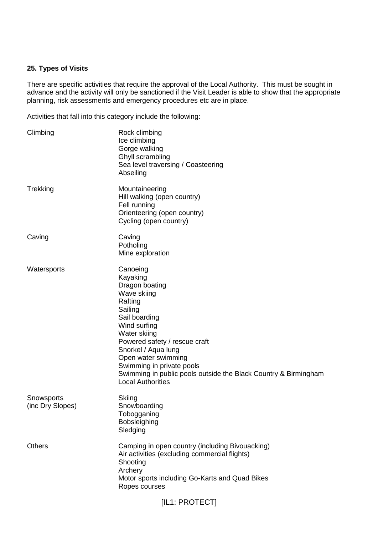#### **25. Types of Visits**

There are specific activities that require the approval of the Local Authority. This must be sought in advance and the activity will only be sanctioned if the Visit Leader is able to show that the appropriate planning, risk assessments and emergency procedures etc are in place.

Activities that fall into this category include the following:

| Climbing                       | Rock climbing<br>Ice climbing<br>Gorge walking<br>Ghyll scrambling<br>Sea level traversing / Coasteering<br>Abseiling                                                                                                                                                                                                                   |
|--------------------------------|-----------------------------------------------------------------------------------------------------------------------------------------------------------------------------------------------------------------------------------------------------------------------------------------------------------------------------------------|
| Trekking                       | Mountaineering<br>Hill walking (open country)<br>Fell running<br>Orienteering (open country)<br>Cycling (open country)                                                                                                                                                                                                                  |
| Caving                         | Caving<br>Potholing<br>Mine exploration                                                                                                                                                                                                                                                                                                 |
| Watersports                    | Canoeing<br>Kayaking<br>Dragon boating<br>Wave skiing<br>Rafting<br>Sailing<br>Sail boarding<br>Wind surfing<br>Water skiing<br>Powered safety / rescue craft<br>Snorkel / Aqua lung<br>Open water swimming<br>Swimming in private pools<br>Swimming in public pools outside the Black Country & Birmingham<br><b>Local Authorities</b> |
| Snowsports<br>(inc Dry Slopes) | Skiing<br>Snowboarding<br>Tobogganing<br>Bobsleighing<br>Sledging                                                                                                                                                                                                                                                                       |
| <b>Others</b>                  | Camping in open country (including Bivouacking)<br>Air activities (excluding commercial flights)<br>Shooting<br>Archery<br>Motor sports including Go-Karts and Quad Bikes<br>Ropes courses                                                                                                                                              |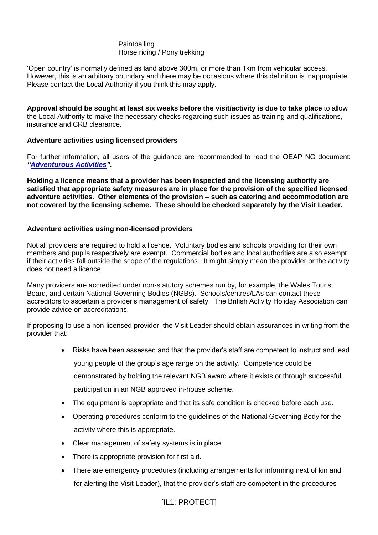## Paintballing Horse riding / Pony trekking

'Open country' is normally defined as land above 300m, or more than 1km from vehicular access. However, this is an arbitrary boundary and there may be occasions where this definition is inappropriate. Please contact the Local Authority if you think this may apply.

**Approval should be sought at least six weeks before the visit/activity is due to take place** to allow the Local Authority to make the necessary checks regarding such issues as training and qualifications, insurance and CRB clearance.

## **Adventure activities using licensed providers**

For further information, all users of the guidance are recommended to read the OEAP NG document: *["Adventurous Activities"](http://oeapng.info/downloads/all-documents/).*

**Holding a licence means that a provider has been inspected and the licensing authority are satisfied that appropriate safety measures are in place for the provision of the specified licensed adventure activities. Other elements of the provision – such as catering and accommodation are not covered by the licensing scheme. These should be checked separately by the Visit Leader.** 

## **Adventure activities using non-licensed providers**

Not all providers are required to hold a licence. Voluntary bodies and schools providing for their own members and pupils respectively are exempt. Commercial bodies and local authorities are also exempt if their activities fall outside the scope of the regulations. It might simply mean the provider or the activity does not need a licence.

Many providers are accredited under non-statutory schemes run by, for example, the Wales Tourist Board, and certain National Governing Bodies (NGBs). Schools/centres/LAs can contact these accreditors to ascertain a provider's management of safety. The British Activity Holiday Association can provide advice on accreditations.

If proposing to use a non-licensed provider, the Visit Leader should obtain assurances in writing from the provider that:

- Risks have been assessed and that the provider's staff are competent to instruct and lead young people of the group's age range on the activity. Competence could be demonstrated by holding the relevant NGB award where it exists or through successful participation in an NGB approved in-house scheme.
- The equipment is appropriate and that its safe condition is checked before each use.
- Operating procedures conform to the guidelines of the National Governing Body for the activity where this is appropriate.
- Clear management of safety systems is in place.
- There is appropriate provision for first aid.
- There are emergency procedures (including arrangements for informing next of kin and for alerting the Visit Leader), that the provider's staff are competent in the procedures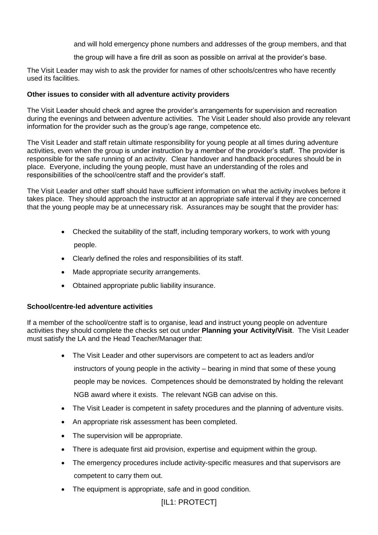and will hold emergency phone numbers and addresses of the group members, and that

the group will have a fire drill as soon as possible on arrival at the provider's base.

The Visit Leader may wish to ask the provider for names of other schools/centres who have recently used its facilities.

## **Other issues to consider with all adventure activity providers**

The Visit Leader should check and agree the provider's arrangements for supervision and recreation during the evenings and between adventure activities. The Visit Leader should also provide any relevant information for the provider such as the group's age range, competence etc.

The Visit Leader and staff retain ultimate responsibility for young people at all times during adventure activities, even when the group is under instruction by a member of the provider's staff. The provider is responsible for the safe running of an activity. Clear handover and handback procedures should be in place. Everyone, including the young people, must have an understanding of the roles and responsibilities of the school/centre staff and the provider's staff.

The Visit Leader and other staff should have sufficient information on what the activity involves before it takes place. They should approach the instructor at an appropriate safe interval if they are concerned that the young people may be at unnecessary risk. Assurances may be sought that the provider has:

- Checked the suitability of the staff, including temporary workers, to work with young people.
- Clearly defined the roles and responsibilities of its staff.
- Made appropriate security arrangements.
- Obtained appropriate public liability insurance.

## **School/centre-led adventure activities**

If a member of the school/centre staff is to organise, lead and instruct young people on adventure activities they should complete the checks set out under **Planning your Activity/Visit**. The Visit Leader must satisfy the LA and the Head Teacher/Manager that:

- The Visit Leader and other supervisors are competent to act as leaders and/or instructors of young people in the activity – bearing in mind that some of these young people may be novices. Competences should be demonstrated by holding the relevant NGB award where it exists. The relevant NGB can advise on this.
- The Visit Leader is competent in safety procedures and the planning of adventure visits.
- An appropriate risk assessment has been completed.
- The supervision will be appropriate.
- There is adequate first aid provision, expertise and equipment within the group.
- The emergency procedures include activity-specific measures and that supervisors are competent to carry them out.
- The equipment is appropriate, safe and in good condition.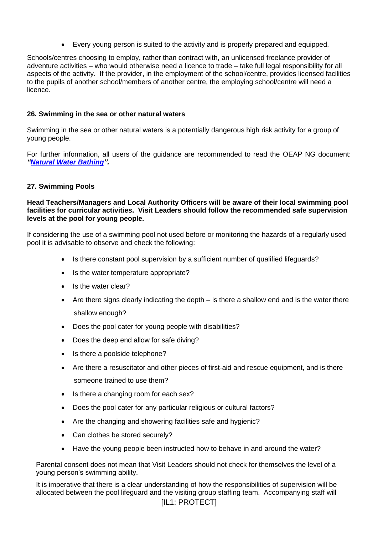Every young person is suited to the activity and is properly prepared and equipped.

Schools/centres choosing to employ, rather than contract with, an unlicensed freelance provider of adventure activities – who would otherwise need a licence to trade – take full legal responsibility for all aspects of the activity. If the provider, in the employment of the school/centre, provides licensed facilities to the pupils of another school/members of another centre, the employing school/centre will need a licence.

## **26. Swimming in the sea or other natural waters**

Swimming in the sea or other natural waters is a potentially dangerous high risk activity for a group of young people.

For further information, all users of the guidance are recommended to read the OEAP NG document: *"Natural [Water Bathing"](http://oeapng.info/downloads/all-documents/).*

## **27. Swimming Pools**

#### **Head Teachers/Managers and Local Authority Officers will be aware of their local swimming pool facilities for curricular activities. Visit Leaders should follow the recommended safe supervision levels at the pool for young people.**

If considering the use of a swimming pool not used before or monitoring the hazards of a regularly used pool it is advisable to observe and check the following:

- Is there constant pool supervision by a sufficient number of qualified lifeguards?
- Is the water temperature appropriate?
- Is the water clear?
- $\bullet$  Are there signs clearly indicating the depth  $-$  is there a shallow end and is the water there shallow enough?
- Does the pool cater for young people with disabilities?
- Does the deep end allow for safe diving?
- Is there a poolside telephone?
- Are there a resuscitator and other pieces of first-aid and rescue equipment, and is there someone trained to use them?
- Is there a changing room for each sex?
- Does the pool cater for any particular religious or cultural factors?
- Are the changing and showering facilities safe and hygienic?
- Can clothes be stored securely?
- Have the young people been instructed how to behave in and around the water?

Parental consent does not mean that Visit Leaders should not check for themselves the level of a young person's swimming ability.

[IL1: PROTECT] It is imperative that there is a clear understanding of how the responsibilities of supervision will be allocated between the pool lifeguard and the visiting group staffing team. Accompanying staff will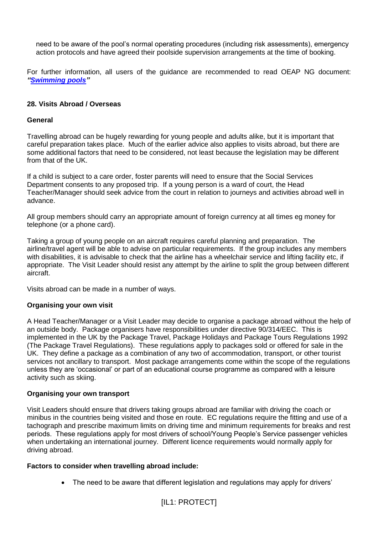need to be aware of the pool's normal operating procedures (including risk assessments), emergency action protocols and have agreed their poolside supervision arrangements at the time of booking.

For further information, all users of the guidance are recommended to read OEAP NG document: *["Swimming pools"](http://oeapng.info/downloads/all-documents/)*

## **28. Visits Abroad / Overseas**

#### **General**

Travelling abroad can be hugely rewarding for young people and adults alike, but it is important that careful preparation takes place. Much of the earlier advice also applies to visits abroad, but there are some additional factors that need to be considered, not least because the legislation may be different from that of the UK.

If a child is subject to a care order, foster parents will need to ensure that the Social Services Department consents to any proposed trip. If a young person is a ward of court, the Head Teacher/Manager should seek advice from the court in relation to journeys and activities abroad well in advance.

All group members should carry an appropriate amount of foreign currency at all times eg money for telephone (or a phone card).

Taking a group of young people on an aircraft requires careful planning and preparation. The airline/travel agent will be able to advise on particular requirements. If the group includes any members with disabilities, it is advisable to check that the airline has a wheelchair service and lifting facility etc, if appropriate. The Visit Leader should resist any attempt by the airline to split the group between different aircraft.

Visits abroad can be made in a number of ways.

## **Organising your own visit**

A Head Teacher/Manager or a Visit Leader may decide to organise a package abroad without the help of an outside body. Package organisers have responsibilities under directive 90/314/EEC. This is implemented in the UK by the Package Travel, Package Holidays and Package Tours Regulations 1992 (The Package Travel Regulations). These regulations apply to packages sold or offered for sale in the UK. They define a package as a combination of any two of accommodation, transport, or other tourist services not ancillary to transport. Most package arrangements come within the scope of the regulations unless they are 'occasional' or part of an educational course programme as compared with a leisure activity such as skiing.

#### **Organising your own transport**

Visit Leaders should ensure that drivers taking groups abroad are familiar with driving the coach or minibus in the countries being visited and those en route. EC regulations require the fitting and use of a tachograph and prescribe maximum limits on driving time and minimum requirements for breaks and rest periods. These regulations apply for most drivers of school/Young People's Service passenger vehicles when undertaking an international journey. Different licence requirements would normally apply for driving abroad.

## **Factors to consider when travelling abroad include:**

• The need to be aware that different legislation and regulations may apply for drivers'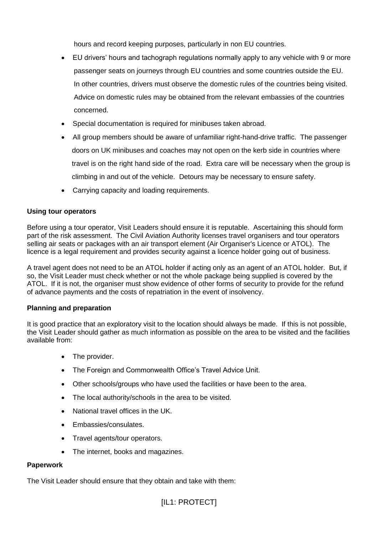hours and record keeping purposes, particularly in non EU countries.

- EU drivers' hours and tachograph regulations normally apply to any vehicle with 9 or more passenger seats on journeys through EU countries and some countries outside the EU. In other countries, drivers must observe the domestic rules of the countries being visited. Advice on domestic rules may be obtained from the relevant embassies of the countries concerned.
- Special documentation is required for minibuses taken abroad.
- All group members should be aware of unfamiliar right-hand-drive traffic. The passenger doors on UK minibuses and coaches may not open on the kerb side in countries where travel is on the right hand side of the road. Extra care will be necessary when the group is climbing in and out of the vehicle. Detours may be necessary to ensure safety.
- Carrying capacity and loading requirements.

## **Using tour operators**

Before using a tour operator, Visit Leaders should ensure it is reputable. Ascertaining this should form part of the risk assessment. The Civil Aviation Authority licenses travel organisers and tour operators selling air seats or packages with an air transport element (Air Organiser's Licence or ATOL). The licence is a legal requirement and provides security against a licence holder going out of business.

A travel agent does not need to be an ATOL holder if acting only as an agent of an ATOL holder. But, if so, the Visit Leader must check whether or not the whole package being supplied is covered by the ATOL. If it is not, the organiser must show evidence of other forms of security to provide for the refund of advance payments and the costs of repatriation in the event of insolvency.

## **Planning and preparation**

It is good practice that an exploratory visit to the location should always be made. If this is not possible, the Visit Leader should gather as much information as possible on the area to be visited and the facilities available from:

- The provider.
- The Foreign and Commonwealth Office's Travel Advice Unit.
- Other schools/groups who have used the facilities or have been to the area.
- The local authority/schools in the area to be visited.
- National travel offices in the UK.
- Embassies/consulates.
- Travel agents/tour operators.
- The internet, books and magazines.

## **Paperwork**

The Visit Leader should ensure that they obtain and take with them: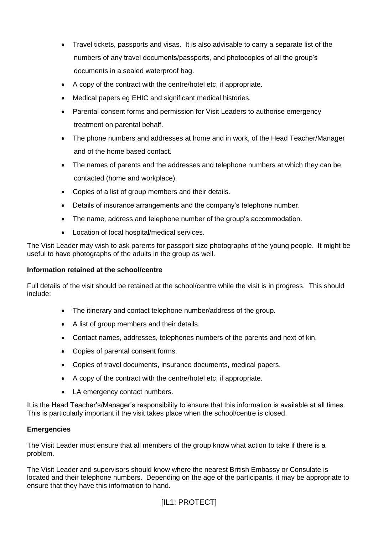- Travel tickets, passports and visas. It is also advisable to carry a separate list of the numbers of any travel documents/passports, and photocopies of all the group's documents in a sealed waterproof bag.
- A copy of the contract with the centre/hotel etc, if appropriate.
- Medical papers eg EHIC and significant medical histories.
- Parental consent forms and permission for Visit Leaders to authorise emergency treatment on parental behalf.
- The phone numbers and addresses at home and in work, of the Head Teacher/Manager and of the home based contact.
- The names of parents and the addresses and telephone numbers at which they can be contacted (home and workplace).
- Copies of a list of group members and their details.
- Details of insurance arrangements and the company's telephone number.
- The name, address and telephone number of the group's accommodation.
- Location of local hospital/medical services.

The Visit Leader may wish to ask parents for passport size photographs of the young people. It might be useful to have photographs of the adults in the group as well.

## **Information retained at the school/centre**

Full details of the visit should be retained at the school/centre while the visit is in progress. This should include:

- The itinerary and contact telephone number/address of the group.
- A list of group members and their details.
- Contact names, addresses, telephones numbers of the parents and next of kin.
- Copies of parental consent forms.
- Copies of travel documents, insurance documents, medical papers.
- A copy of the contract with the centre/hotel etc, if appropriate.
- LA emergency contact numbers.

It is the Head Teacher's/Manager's responsibility to ensure that this information is available at all times. This is particularly important if the visit takes place when the school/centre is closed.

## **Emergencies**

The Visit Leader must ensure that all members of the group know what action to take if there is a problem.

The Visit Leader and supervisors should know where the nearest British Embassy or Consulate is located and their telephone numbers. Depending on the age of the participants, it may be appropriate to ensure that they have this information to hand.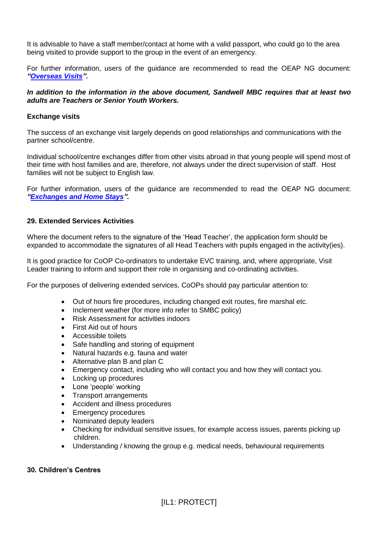It is advisable to have a staff member/contact at home with a valid passport, who could go to the area being visited to provide support to the group in the event of an emergency.

For further information, users of the guidance are recommended to read the OEAP NG document: *["Overseas Visits"](http://oeapng.info/downloads/all-documents/).*

## *In addition to the information in the above document, Sandwell MBC requires that at least two adults are Teachers or Senior Youth Workers.*

#### **Exchange visits**

The success of an exchange visit largely depends on good relationships and communications with the partner school/centre.

Individual school/centre exchanges differ from other visits abroad in that young people will spend most of their time with host families and are, therefore, not always under the direct supervision of staff. Host families will not be subject to English law.

For further information, users of the guidance are recommended to read the OEAP NG document: *["Exchanges and Home Stays"](http://oeapng.info/downloads/all-documents/).*

## **29. Extended Services Activities**

Where the document refers to the signature of the 'Head Teacher', the application form should be expanded to accommodate the signatures of all Head Teachers with pupils engaged in the activity(ies).

It is good practice for CoOP Co-ordinators to undertake EVC training, and, where appropriate, Visit Leader training to inform and support their role in organising and co-ordinating activities.

For the purposes of delivering extended services, CoOPs should pay particular attention to:

- Out of hours fire procedures, including changed exit routes, fire marshal etc.
- Inclement weather (for more info refer to SMBC policy)
- Risk Assessment for activities indoors
- First Aid out of hours
- Accessible toilets
- Safe handling and storing of equipment
- Natural hazards e.g. fauna and water
- Alternative plan B and plan C
- Emergency contact, including who will contact you and how they will contact you.
- Locking up procedures
- Lone 'people' working
- Transport arrangements
- Accident and illness procedures
- Emergency procedures
- Nominated deputy leaders
- Checking for individual sensitive issues, for example access issues, parents picking up children.
- Understanding / knowing the group e.g. medical needs, behavioural requirements

#### **30. Children's Centres**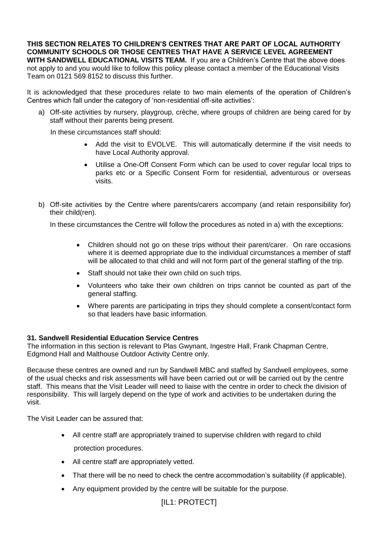**THIS SECTION RELATES TO CHILDREN'S CENTRES THAT ARE PART OF LOCAL AUTHORITY COMMUNITY SCHOOLS OR THOSE CENTRES THAT HAVE A SERVICE LEVEL AGREEMENT WITH SANDWELL EDUCATIONAL VISITS TEAM.** If you are a Children's Centre that the above does not apply to and you would like to follow this policy please contact a member of the Educational Visits Team on 0121 569 8152 to discuss this further.

It is acknowledged that these procedures relate to two main elements of the operation of Children's Centres which fall under the category of 'non-residential off-site activities':

a) Off-site activities by nursery, playgroup, crèche, where groups of children are being cared for by staff without their parents being present.

In these circumstances staff should:

- Add the visit to EVOLVE. This will automatically determine if the visit needs to have Local Authority approval.
- Utilise a One-Off Consent Form which can be used to cover regular local trips to parks etc or a Specific Consent Form for residential, adventurous or overseas visits.
- b) Off-site activities by the Centre where parents/carers accompany (and retain responsibility for) their child(ren).

In these circumstances the Centre will follow the procedures as noted in a) with the exceptions:

- Children should not go on these trips without their parent/carer. On rare occasions where it is deemed appropriate due to the individual circumstances a member of staff will be allocated to that child and will not form part of the general staffing of the trip.
- Staff should not take their own child on such trips.
- Volunteers who take their own children on trips cannot be counted as part of the general staffing.
- Where parents are participating in trips they should complete a consent/contact form so that leaders have basic information.

## **31. Sandwell Residential Education Service Centres**

The information in this section is relevant to Plas Gwynant, Ingestre Hall, Frank Chapman Centre, Edgmond Hall and Malthouse Outdoor Activity Centre only.

Because these centres are owned and run by Sandwell MBC and staffed by Sandwell employees, some of the usual checks and risk assessments will have been carried out or will be carried out by the centre staff. This means that the Visit Leader will need to liaise with the centre in order to check the division of responsibility. This will largely depend on the type of work and activities to be undertaken during the visit.

The Visit Leader can be assured that:

- All centre staff are appropriately trained to supervise children with regard to child protection procedures.
- All centre staff are appropriately vetted.
- That there will be no need to check the centre accommodation's suitability (if applicable).
- Any equipment provided by the centre will be suitable for the purpose.